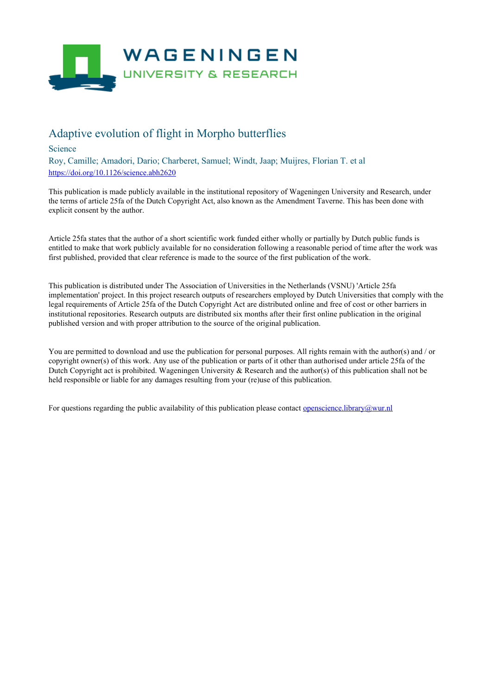

## Adaptive evolution of flight in Morpho butterflies

Science

Roy, Camille; Amadori, Dario; Charberet, Samuel; Windt, Jaap; Muijres, Florian T. et al <https://doi.org/10.1126/science.abh2620>

This publication is made publicly available in the institutional repository of Wageningen University and Research, under the terms of article 25fa of the Dutch Copyright Act, also known as the Amendment Taverne. This has been done with explicit consent by the author.

Article 25fa states that the author of a short scientific work funded either wholly or partially by Dutch public funds is entitled to make that work publicly available for no consideration following a reasonable period of time after the work was first published, provided that clear reference is made to the source of the first publication of the work.

This publication is distributed under The Association of Universities in the Netherlands (VSNU) 'Article 25fa implementation' project. In this project research outputs of researchers employed by Dutch Universities that comply with the legal requirements of Article 25fa of the Dutch Copyright Act are distributed online and free of cost or other barriers in institutional repositories. Research outputs are distributed six months after their first online publication in the original published version and with proper attribution to the source of the original publication.

You are permitted to download and use the publication for personal purposes. All rights remain with the author(s) and / or copyright owner(s) of this work. Any use of the publication or parts of it other than authorised under article 25fa of the Dutch Copyright act is prohibited. Wageningen University & Research and the author(s) of this publication shall not be held responsible or liable for any damages resulting from your (re)use of this publication.

For questions regarding the public availability of this publication please contact <u>[openscience.library@wur.nl](mailto:openscience.library@wur.nl)</u>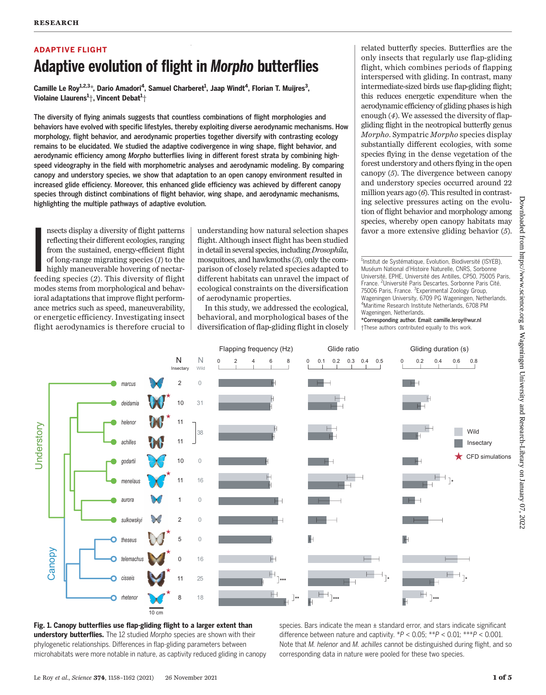# ADAPTIVE FLIGHT Adaptive evolution of flight in Morpho butterflies

Camille Le Roy<sup>1,2,3</sup>\*, Dario Amadori<sup>4</sup>, Samuel Charberet<sup>1</sup>, Jaap Windt<sup>4</sup>, Florian T. Muijres<sup>3</sup>, Violaine Llaurens $^1\! \mathsf{;}$  Vincent Debat $^1\! \mathsf{;}$ 

The diversity of flying animals suggests that countless combinations of flight morphologies and behaviors have evolved with specific lifestyles, thereby exploiting diverse aerodynamic mechanisms. How morphology, flight behavior, and aerodynamic properties together diversify with contrasting ecology remains to be elucidated. We studied the adaptive codivergence in wing shape, flight behavior, and aerodynamic efficiency among Morpho butterflies living in different forest strata by combining highspeed videography in the field with morphometric analyses and aerodynamic modeling. By comparing canopy and understory species, we show that adaptation to an open canopy environment resulted in increased glide efficiency. Moreover, this enhanced glide efficiency was achieved by different canopy species through distinct combinations of flight behavior, wing shape, and aerodynamic mechanisms, highlighting the multiple pathways of adaptive evolution.

**I**<br>I<br>Iee nsects display a diversity of flight patterns reflecting their different ecologies, ranging from the sustained, energy-efficient flight of long-range migrating species (1) to the highly maneuverable hovering of nectarfeeding species (2). This diversity of flight modes stems from morphological and behavioral adaptations that improve flight performance metrics such as speed, maneuverability, or energetic efficiency. Investigating insect flight aerodynamics is therefore crucial to

understanding how natural selection shapes flight. Although insect flight has been studied in detail in several species, including Drosophila, mosquitoes, and hawkmoths (3), only the comparison of closely related species adapted to different habitats can unravel the impact of ecological constraints on the diversification of aerodynamic properties.

In this study, we addressed the ecological, behavioral, and morphological bases of the diversification of flap-gliding flight in closely

related butterfly species. Butterflies are the only insects that regularly use flap-gliding flight, which combines periods of flapping interspersed with gliding. In contrast, many intermediate-sized birds use flap-gliding flight; this reduces energetic expenditure when the aerodynamic efficiency of gliding phases is high enough (4). We assessed the diversity of flapgliding flight in the neotropical butterfly genus Morpho. Sympatric Morpho species display substantially different ecologies, with some species flying in the dense vegetation of the forest understory and others flying in the open canopy (5). The divergence between canopy and understory species occurred around 22 million years ago (6). This resulted in contrasting selective pressures acting on the evolution of flight behavior and morphology among species, whereby open canopy habitats may favor a more extensive gliding behavior (5).

<sup>1</sup>Institut de Systématique, Evolution, Biodiversité (ISYEB), Muséum National d'Histoire Naturelle, CNRS, Sorbonne Université, EPHE, Université des Antilles, CP50, 75005 Paris, France. <sup>2</sup>Université Paris Descartes, Sorbonne Paris Cité, 75006 Paris, France. <sup>3</sup>Experimental Zoology Group, Wageningen University, 6709 PG Wageningen, Netherlands. 4 Maritime Research Institute Netherlands, 6708 PM Wageningen, Netherlands.

\*Corresponding author. Email: camille.leroy@wur.nl †These authors contributed equally to this work.



Fig. 1. Canopy butterflies use flap-gliding flight to a larger extent than understory butterflies. The 12 studied Morpho species are shown with their phylogenetic relationships. Differences in flap-gliding parameters between microhabitats were more notable in nature, as captivity reduced gliding in canopy species. Bars indicate the mean  $\pm$  standard error, and stars indicate significant difference between nature and captivity.  $*P < 0.05$ ;  $**P < 0.01$ ;  $**P < 0.001$ . Note that M. helenor and M. achilles cannot be distinguished during flight, and so corresponding data in nature were pooled for these two species.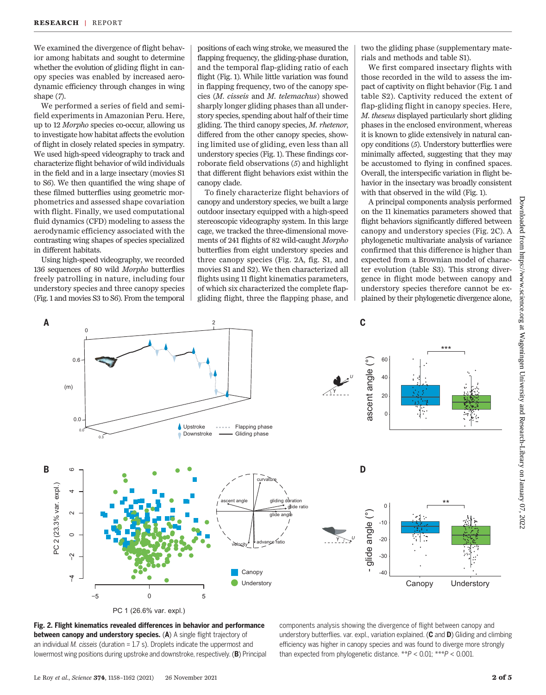We examined the divergence of flight behavior among habitats and sought to determine whether the evolution of gliding flight in canopy species was enabled by increased aerodynamic efficiency through changes in wing shape  $(7)$ .

We performed a series of field and semifield experiments in Amazonian Peru. Here, up to 12 Morpho species co-occur, allowing us to investigate how habitat affects the evolution of flight in closely related species in sympatry. We used high-speed videography to track and characterize flight behavior of wild individuals in the field and in a large insectary (movies S1 to S6). We then quantified the wing shape of these filmed butterflies using geometric morphometrics and assessed shape covariation with flight. Finally, we used computational fluid dynamics (CFD) modeling to assess the aerodynamic efficiency associated with the contrasting wing shapes of species specialized in different habitats.

Using high-speed videography, we recorded 136 sequences of 80 wild Morpho butterflies freely patrolling in nature, including four understory species and three canopy species (Fig. 1 and movies S3 to S6). From the temporal

positions of each wing stroke, we measured the flapping frequency, the gliding-phase duration, and the temporal flap-gliding ratio of each flight (Fig. 1). While little variation was found in flapping frequency, two of the canopy species (M. cisseis and M. telemachus) showed sharply longer gliding phases than all understory species, spending about half of their time gliding. The third canopy species, M. rhetenor, differed from the other canopy species, showing limited use of gliding, even less than all understory species (Fig. 1). These findings corroborate field observations (5) and highlight that different flight behaviors exist within the canopy clade.

To finely characterize flight behaviors of canopy and understory species, we built a large outdoor insectary equipped with a high-speed stereoscopic videography system. In this large cage, we tracked the three-dimensional movements of 241 flights of 82 wild-caught Morpho butterflies from eight understory species and three canopy species (Fig. 2A, fig. S1, and movies S1 and S2). We then characterized all flights using 11 flight kinematics parameters, of which six characterized the complete flapgliding flight, three the flapping phase, and

two the gliding phase (supplementary materials and methods and table S1).

We first compared insectary flights with those recorded in the wild to assess the impact of captivity on flight behavior (Fig. 1 and table S2). Captivity reduced the extent of flap-gliding flight in canopy species. Here, M. theseus displayed particularly short gliding phases in the enclosed environment, whereas it is known to glide extensively in natural canopy conditions (5). Understory butterflies were minimally affected, suggesting that they may be accustomed to flying in confined spaces. Overall, the interspecific variation in flight behavior in the insectary was broadly consistent with that observed in the wild (Fig. 1).

A principal components analysis performed on the 11 kinematics parameters showed that flight behaviors significantly differed between canopy and understory species (Fig. 2C). A phylogenetic multivariate analysis of variance confirmed that this difference is higher than expected from a Brownian model of character evolution (table S3). This strong divergence in flight mode between canopy and understory species therefore cannot be explained by their phylogenetic divergence alone,



Fig. 2. Flight kinematics revealed differences in behavior and performance between canopy and understory species. (A) A single flight trajectory of an individual *M. cisseis* (duration  $= 1.7$  s). Droplets indicate the uppermost and lowermost wing positions during upstroke and downstroke, respectively. (B) Principal

components analysis showing the divergence of flight between canopy and understory butterflies. var. expl., variation explained. ( $\mathsf C$  and  $\mathsf D$ ) Gliding and climbing efficiency was higher in canopy species and was found to diverge more strongly than expected from phylogenetic distance.  $**P < 0.01$ ;  $***P < 0.001$ .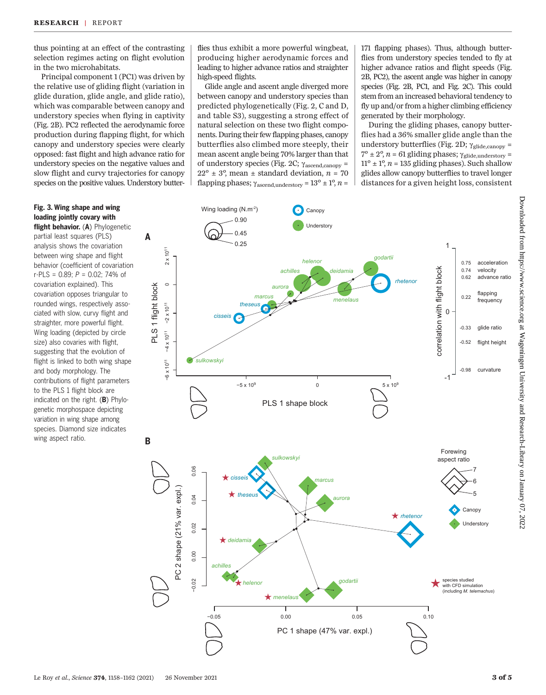thus pointing at an effect of the contrasting selection regimes acting on flight evolution in the two microhabitats.

Principal component 1 (PC1) was driven by the relative use of gliding flight (variation in glide duration, glide angle, and glide ratio), which was comparable between canopy and understory species when flying in captivity (Fig. 2B). PC2 reflected the aerodynamic force production during flapping flight, for which canopy and understory species were clearly opposed: fast flight and high advance ratio for understory species on the negative values and slow flight and curvy trajectories for canopy species on the positive values. Understory butter-

### Fig. 3. Wing shape and wing loading jointly covary with

flight behavior. (A) Phylogenetic partial least squares (PLS) analysis shows the covariation between wing shape and flight behavior (coefficient of covariation r-PLS = 0.89; P = 0.02; 74% of covariation explained). This covariation opposes triangular to rounded wings, respectively associated with slow, curvy flight and straighter, more powerful flight. Wing loading (depicted by circle size) also covaries with flight, suggesting that the evolution of flight is linked to both wing shape and body morphology. The contributions of flight parameters to the PLS 1 flight block are indicated on the right. (B) Phylogenetic morphospace depicting variation in wing shape among species. Diamond size indicates wing aspect ratio.

flies thus exhibit a more powerful wingbeat, producing higher aerodynamic forces and leading to higher advance ratios and straighter high-speed flights.

Glide angle and ascent angle diverged more between canopy and understory species than predicted phylogenetically (Fig. 2, C and D, and table S3), suggesting a strong effect of natural selection on these two flight components. During their few flapping phases, canopy butterflies also climbed more steeply, their mean ascent angle being 70% larger than that of understory species (Fig. 2C;  $\gamma_{\rm ascending, canopy}$  =  $22^{\circ} \pm 3^{\circ}$ , mean  $\pm$  standard deviation,  $n = 70$ flapping phases;  $\gamma_{\text{ascend,understory}} = 13^{\circ} \pm 1^{\circ}, n =$ 

171 flapping phases). Thus, although butterflies from understory species tended to fly at higher advance ratios and flight speeds (Fig. 2B, PC2), the ascent angle was higher in canopy species (Fig. 2B, PC1, and Fig. 2C). This could stem from an increased behavioral tendency to fly up and/or from a higher climbing efficiency generated by their morphology.

During the gliding phases, canopy butterflies had a 36% smaller glide angle than the understory butterflies (Fig. 2D;  $\gamma_{\text{glide,canopy}} =$  $7^\circ \pm 2^\circ$ ,  $n = 61$  gliding phases;  $\gamma_{\text{gilde,under story}} =$  $11^{\circ} \pm 1^{\circ}$ , n = 135 gliding phases). Such shallow glides allow canopy butterflies to travel longer distances for a given height loss, consistent

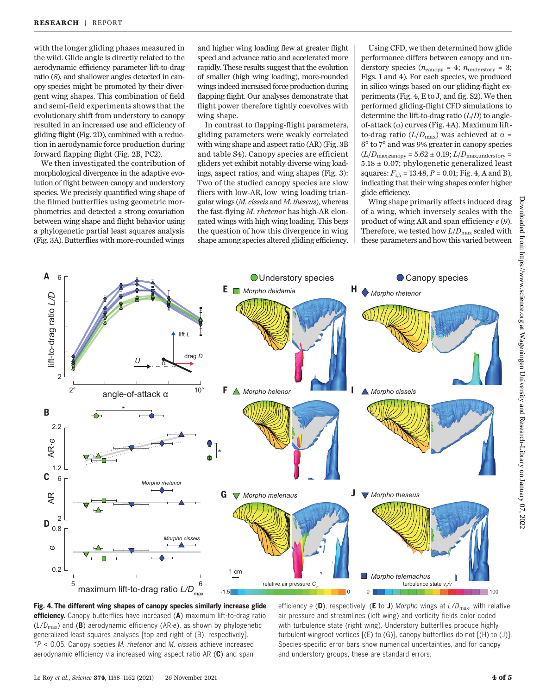with the longer gliding phases measured in the wild. Glide angle is directly related to the aerodynamic efficiency parameter lift-to-drag ratio (8), and shallower angles detected in canopy species might be promoted by their divergent wing shapes. This combination of field and semi-field experiments shows that the evolutionary shift from understory to canopy resulted in an increased use and efficiency of gliding flight (Fig. 2D), combined with a reduction in aerodynamic force production during forward flapping flight (Fig. 2B, PC2).

We then investigated the contribution of morphological divergence in the adaptive evolution of flight between canopy and understory species. We precisely quantified wing shape of the filmed butterflies using geometric morphometrics and detected a strong covariation between wing shape and flight behavior using a phylogenetic partial least squares analysis (Fig. 3A). Butterflies with more-rounded wings

and higher wing loading flew at greater flight speed and advance ratio and accelerated more rapidly. These results suggest that the evolution of smaller (high wing loading), more-rounded wings indeed increased force production during flapping flight. Our analyses demonstrate that flight power therefore tightly coevolves with wing shape.

In contrast to flapping-flight parameters, gliding parameters were weakly correlated with wing shape and aspect ratio (AR) (Fig. 3B and table S4). Canopy species are efficient gliders yet exhibit notably diverse wing loadings, aspect ratios, and wing shapes (Fig. 3): Two of the studied canopy species are slow fliers with low-AR, low–wing loading triangular wings (M. cisseis and M. theseus), whereas the fast-flying M. rhetenor has high-AR elongated wings with high wing loading. This begs the question of how this divergence in wing shape among species altered gliding efficiency.

Using CFD, we then determined how glide performance differs between canopy and understory species ( $n_{\text{canopy}} = 4$ ;  $n_{\text{under story}} = 3$ ; Figs. 1 and 4). For each species, we produced in silico wings based on our gliding-flight experiments (Fig. 4, E to J, and fig. S2). We then performed gliding-flight CFD simulations to determine the lift-to-drag ratio  $(L/D)$  to angleof-attack  $(\alpha)$  curves (Fig. 4A). Maximum liftto-drag ratio ( $L/D_{\text{max}}$ ) was achieved at  $\alpha$  = 6° to 7° and was 9% greater in canopy species  $(L/D_{\text{max,canopy}} = 5.62 \pm 0.19; L/D_{\text{max,undersitory}} =$ 5.18 ± 0.07; phylogenetic generalized least squares:  $F_{1,5} = 13.48$ ,  $P = 0.01$ ; Fig. 4, A and B), indicating that their wing shapes confer higher glide efficiency.

Wing shape primarily affects induced drag of a wing, which inversely scales with the product of wing AR and span efficiency  $e(9)$ . Therefore, we tested how  $L/D_{\text{max}}$  scaled with these parameters and how this varied between



Fig. 4. The different wing shapes of canopy species similarly increase glide efficiency. Canopy butterflies have increased (A) maximum lift-to-drag ratio  $(L/D<sub>max</sub>)$  and (B) aerodynamic efficiency (AR⋅e), as shown by phylogenetic generalized least squares analyses [top and right of (B), respectively].  $*P < 0.05$ . Canopy species M. rhetenor and M. cisseis achieve increased aerodynamic efficiency via increased wing aspect ratio AR (C) and span

efficiency e (D), respectively. (E to J) Morpho wings at  $L/D_{\text{max}}$ , with relative air pressure and streamlines (left wing) and vorticity fields color coded with turbulence state (right wing). Understory butterflies produce highly turbulent wingroot vortices [(E) to (G)], canopy butterflies do not [(H) to (J)]. Species-specific error bars show numerical uncertainties, and for canopy and understory groups, these are standard errors.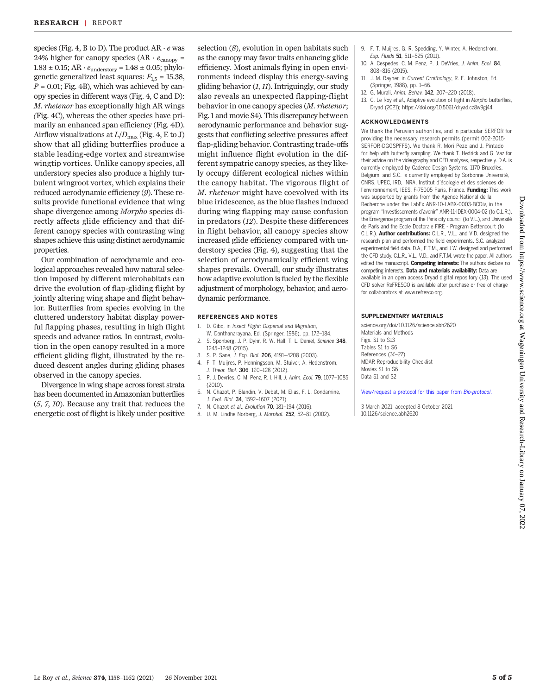species (Fig. 4, B to D). The product  $AR \cdot e$  was 24% higher for canopy species (AR  $\cdot e_{\text{canopy}} =$  $1.83\pm0.15;$  AR  $\cdot$   $e_{\textrm{understory}}$  =  $1.48\pm0.05;$  phylogenetic generalized least squares:  $F_{1.5} = 15.38$ ,  $P = 0.01$ ; Fig. 4B), which was achieved by canopy species in different ways (Fig. 4, C and D): M. rhetenor has exceptionally high AR wings (Fig. 4C), whereas the other species have primarily an enhanced span efficiency (Fig. 4D). Airflow visualizations at  $L/D_{\text{max}}$  (Fig. 4, E to J) show that all gliding butterflies produce a stable leading-edge vortex and streamwise wingtip vortices. Unlike canopy species, all understory species also produce a highly turbulent wingroot vortex, which explains their reduced aerodynamic efficiency (9). These results provide functional evidence that wing shape divergence among Morpho species directly affects glide efficiency and that different canopy species with contrasting wing shapes achieve this using distinct aerodynamic properties.

Our combination of aerodynamic and ecological approaches revealed how natural selection imposed by different microhabitats can drive the evolution of flap-gliding flight by jointly altering wing shape and flight behavior. Butterflies from species evolving in the cluttered understory habitat display powerful flapping phases, resulting in high flight speeds and advance ratios. In contrast, evolution in the open canopy resulted in a more efficient gliding flight, illustrated by the reduced descent angles during gliding phases observed in the canopy species.

Divergence in wing shape across forest strata has been documented in Amazonian butterflies (5, 7, 10). Because any trait that reduces the energetic cost of flight is likely under positive

selection  $(8)$ , evolution in open habitats such as the canopy may favor traits enhancing glide efficiency. Most animals flying in open environments indeed display this energy-saving gliding behavior  $(1, 11)$ . Intriguingly, our study also reveals an unexpected flapping-flight behavior in one canopy species (M. rhetenor; Fig. 1 and movie S4). This discrepancy between aerodynamic performance and behavior suggests that conflicting selective pressures affect flap-gliding behavior. Contrasting trade-offs might influence flight evolution in the different sympatric canopy species, as they likely occupy different ecological niches within the canopy habitat. The vigorous flight of M. rhetenor might have coevolved with its blue iridescence, as the blue flashes induced during wing flapping may cause confusion in predators (12). Despite these differences in flight behavior, all canopy species show increased glide efficiency compared with understory species (Fig. 4), suggesting that the selection of aerodynamically efficient wing shapes prevails. Overall, our study illustrates how adaptive evolution is fueled by the flexible adjustment of morphology, behavior, and aerodynamic performance.

#### REFERENCES AND NOTES

- 1. D. Gibo, in Insect Flight: Dispersal and Migration,
- W. Danthanarayana, Ed. (Springer, 1986), pp. 172–184. 2. S. Sponberg, J. P. Dyhr, R. W. Hall, T. L. Daniel, Science 348, 1245–1248 (2015).
- 3. S. P. Sane, J. Exp. Biol. 206, 4191–4208 (2003).
- 4. F. T. Muijres, P. Henningsson, M. Stuiver, A. Hedenström, J. Theor. Biol. 306, 120–128 (2012).
- 5. P. J. Devries, C. M. Penz, R. I. Hill, J. Anim. Ecol. 79, 1077–1085 (2010).
- 6. N. Chazot, P. Blandin, V. Debat, M. Elias, F. L. Condamine, J. Evol. Biol. 34, 1592–1607 (2021).
- 7. N. Chazot et al., Evolution 70, 181–194 (2016).
- 8. U. M. Lindhe Norberg, J. Morphol. 252, 52–81 (2002).
- 9. F. T. Muijres, G. R. Spedding, Y. Winter, A. Hedenström, Exp. Fluids 51, 511–525 (2011).
- 10. A. Cespedes, C. M. Penz, P. J. DeVries, J. Anim. Ecol. 84, 808–816 (2015).
- 11. J. M. Rayner, in Current Ornithology, R. F. Johnston, Ed. (Springer, 1988), pp. 1–66.
- 12. G. Murali, Anim. Behav. 142, 207–220 (2018).
- 13. C. Le Roy et al., Adaptive evolution of flight in Morpho butterflies, Dryad (2021); [https://doi.org/10.5061/dryad.cz8w9gj44.](https://doi.org/10.5061/dryad.cz8w9gj44)

#### ACKNOWLEDGMENTS

We thank the Peruvian authorities, and in particular SERFOR for providing the necessary research permits (permit 002-2015- SERFOR-DGGSPFFS). We thank R. Mori Pezo and J. Pintado for help with butterfly sampling. We thank T. Hedrick and G. Vaz for their advice on the videography and CFD analyses, respectively. D.A. is currently employed by Cadence Design Systems, 1170 Bruxelles, Belgium, and S.C. is currently employed by Sorbonne Université, CNRS, UPEC, IRD, INRA, Institut d'écologie et des sciences de l'environnement, IEES, F-75005 Paris, France. Funding: This work was supported by grants from the Agence National de la Recherche under the LabEx ANR-10-LABX-0003-BCDiv, in the program "Investissements d'avenir" ANR-11-IDEX-0004-02 (to C.L.R.), the Emergence program of the Paris city council (to V.L.), and Université de Paris and the Ecole Doctorale FIRE - Program Bettencourt (to C.L.R.). Author contributions: C.L.R., V.L., and V.D. designed the research plan and performed the field experiments. S.C. analyzed experimental field data. D.A., F.T.M., and J.W. designed and performed the CFD study. C.L.R., V.L., V.D., and F.T.M. wrote the paper. All authors edited the manuscript. Competing interests: The authors declare no competing interests. Data and materials availability: Data are available in an open access Dryad digital repository (13). The used CFD solver ReFRESCO is available after purchase or free of charge for collaborators at [www.refresco.org.](http://www.refresco.org)

#### SUPPLEMENTARY MATERIALS

[science.org/doi/10.1126/science.abh2620](https://sscience.org/doi/10.1126/science.abh2620) Materials and Methods Figs. S1 to S13 Tables S1 to S6 References (14–27) MDAR Reproducibility Checklist Movies S1 to S6 Data S1 and S2

[View/request a protocol for this paper from](https://en.bio-protocol.org/cjrap.aspx?eid=10.1126/science.abh2620) Bio-protocol.

3 March 2021; accepted 8 October 2021 10.1126/science.abh2620